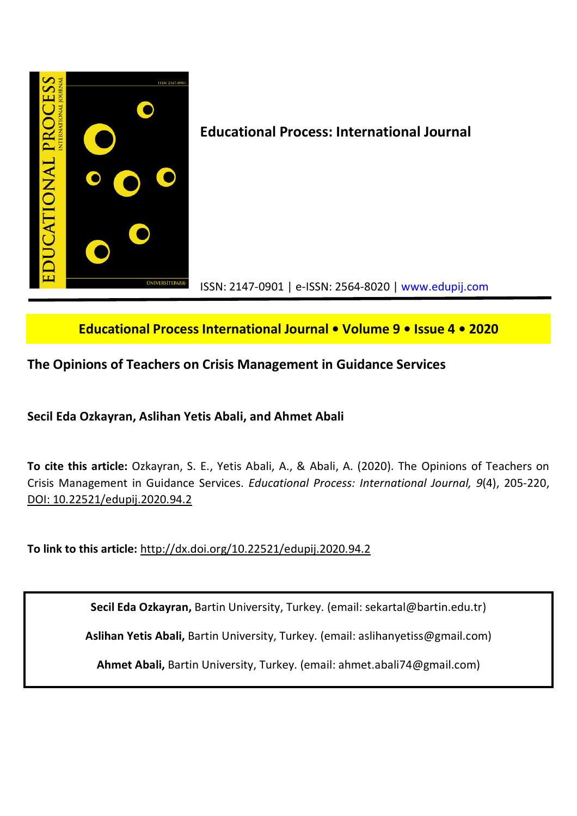

# **Educational Process International Journal • Volume 9 • Issue 4 • 2020**

# **The Opinions of Teachers on Crisis Management in Guidance Services**

**Secil Eda Ozkayran, Aslihan Yetis Abali, and Ahmet Abali**

**To cite this article:** Ozkayran, S. E., Yetis Abali, A., & Abali, A. (2020). The Opinions of Teachers on Crisis Management in Guidance Services. *Educational Process: International Journal, 9*(4), 205-220, DOI: 10.22521/edupij.2020.94.2

**To link to this article:** http://dx.doi.org/10.22521/edupij.2020.94.2

**Secil Eda Ozkayran,** Bartin University, Turkey. (email: sekartal@bartin.edu.tr)

**Aslihan Yetis Abali,** Bartin University, Turkey. (email: aslihanyetiss@gmail.com)

**Ahmet Abali,** Bartin University, Turkey. (email: ahmet.abali74@gmail.com)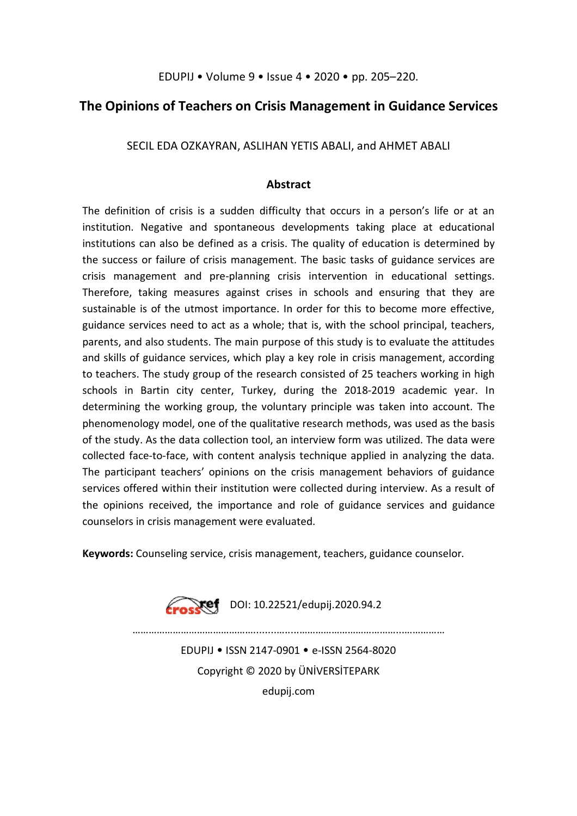EDUPIJ • Volume 9 • Issue 4 • 2020 • pp. 205–220.

## **The Opinions of Teachers on Crisis Management in Guidance Services**

SECIL EDA OZKAYRAN, ASLIHAN YETIS ABALI, and AHMET ABALI

## **Abstract**

The definition of crisis is a sudden difficulty that occurs in a person's life or at an institution. Negative and spontaneous developments taking place at educational institutions can also be defined as a crisis. The quality of education is determined by the success or failure of crisis management. The basic tasks of guidance services are crisis management and pre-planning crisis intervention in educational settings. Therefore, taking measures against crises in schools and ensuring that they are sustainable is of the utmost importance. In order for this to become more effective, guidance services need to act as a whole; that is, with the school principal, teachers, parents, and also students. The main purpose of this study is to evaluate the attitudes and skills of guidance services, which play a key role in crisis management, according to teachers. The study group of the research consisted of 25 teachers working in high schools in Bartin city center, Turkey, during the 2018-2019 academic year. In determining the working group, the voluntary principle was taken into account. The phenomenology model, one of the qualitative research methods, was used as the basis of the study. As the data collection tool, an interview form was utilized. The data were collected face-to-face, with content analysis technique applied in analyzing the data. The participant teachers' opinions on the crisis management behaviors of guidance services offered within their institution were collected during interview. As a result of the opinions received, the importance and role of guidance services and guidance counselors in crisis management were evaluated.

**Keywords:** Counseling service, crisis management, teachers, guidance counselor.



**DOI: 10.22521/edupij.2020.94.2** 

EDUPIJ • ISSN 2147-0901 • e-ISSN 2564-8020 Copyright © 2020 by ÜNİVERSİTEPARK edupij.com

………………………………………........….....………………………………...……………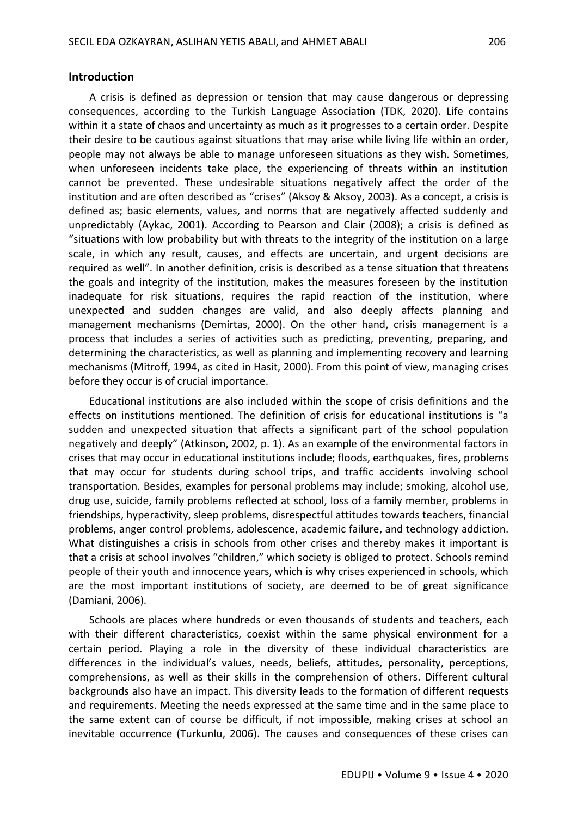### **Introduction**

A crisis is defined as depression or tension that may cause dangerous or depressing consequences, according to the Turkish Language Association (TDK, 2020). Life contains within it a state of chaos and uncertainty as much as it progresses to a certain order. Despite their desire to be cautious against situations that may arise while living life within an order, people may not always be able to manage unforeseen situations as they wish. Sometimes, when unforeseen incidents take place, the experiencing of threats within an institution cannot be prevented. These undesirable situations negatively affect the order of the institution and are often described as "crises" (Aksoy & Aksoy, 2003). As a concept, a crisis is defined as; basic elements, values, and norms that are negatively affected suddenly and unpredictably (Aykac, 2001). According to Pearson and Clair (2008); a crisis is defined as "situations with low probability but with threats to the integrity of the institution on a large scale, in which any result, causes, and effects are uncertain, and urgent decisions are required as well". In another definition, crisis is described as a tense situation that threatens the goals and integrity of the institution, makes the measures foreseen by the institution inadequate for risk situations, requires the rapid reaction of the institution, where unexpected and sudden changes are valid, and also deeply affects planning and management mechanisms (Demirtas, 2000). On the other hand, crisis management is a process that includes a series of activities such as predicting, preventing, preparing, and determining the characteristics, as well as planning and implementing recovery and learning mechanisms (Mitroff, 1994, as cited in Hasit, 2000). From this point of view, managing crises before they occur is of crucial importance.

Educational institutions are also included within the scope of crisis definitions and the effects on institutions mentioned. The definition of crisis for educational institutions is "a sudden and unexpected situation that affects a significant part of the school population negatively and deeply" (Atkinson, 2002, p. 1). As an example of the environmental factors in crises that may occur in educational institutions include; floods, earthquakes, fires, problems that may occur for students during school trips, and traffic accidents involving school transportation. Besides, examples for personal problems may include; smoking, alcohol use, drug use, suicide, family problems reflected at school, loss of a family member, problems in friendships, hyperactivity, sleep problems, disrespectful attitudes towards teachers, financial problems, anger control problems, adolescence, academic failure, and technology addiction. What distinguishes a crisis in schools from other crises and thereby makes it important is that a crisis at school involves "children," which society is obliged to protect. Schools remind people of their youth and innocence years, which is why crises experienced in schools, which are the most important institutions of society, are deemed to be of great significance (Damiani, 2006).

Schools are places where hundreds or even thousands of students and teachers, each with their different characteristics, coexist within the same physical environment for a certain period. Playing a role in the diversity of these individual characteristics are differences in the individual's values, needs, beliefs, attitudes, personality, perceptions, comprehensions, as well as their skills in the comprehension of others. Different cultural backgrounds also have an impact. This diversity leads to the formation of different requests and requirements. Meeting the needs expressed at the same time and in the same place to the same extent can of course be difficult, if not impossible, making crises at school an inevitable occurrence (Turkunlu, 2006). The causes and consequences of these crises can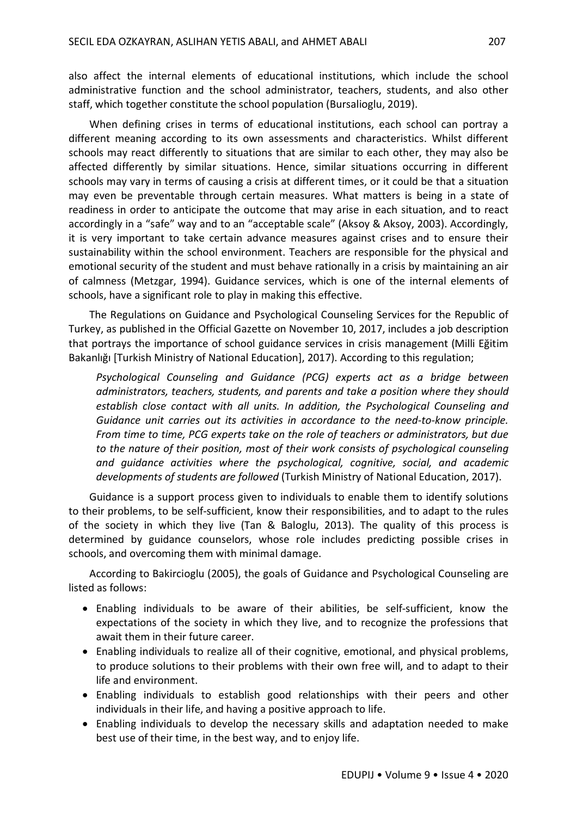also affect the internal elements of educational institutions, which include the school administrative function and the school administrator, teachers, students, and also other staff, which together constitute the school population (Bursalioglu, 2019).

When defining crises in terms of educational institutions, each school can portray a different meaning according to its own assessments and characteristics. Whilst different schools may react differently to situations that are similar to each other, they may also be affected differently by similar situations. Hence, similar situations occurring in different schools may vary in terms of causing a crisis at different times, or it could be that a situation may even be preventable through certain measures. What matters is being in a state of readiness in order to anticipate the outcome that may arise in each situation, and to react accordingly in a "safe" way and to an "acceptable scale" (Aksoy & Aksoy, 2003). Accordingly, it is very important to take certain advance measures against crises and to ensure their sustainability within the school environment. Teachers are responsible for the physical and emotional security of the student and must behave rationally in a crisis by maintaining an air of calmness (Metzgar, 1994). Guidance services, which is one of the internal elements of schools, have a significant role to play in making this effective.

The Regulations on Guidance and Psychological Counseling Services for the Republic of Turkey, as published in the Official Gazette on November 10, 2017, includes a job description that portrays the importance of school guidance services in crisis management (Milli Eğitim Bakanlığı [Turkish Ministry of National Education], 2017). According to this regulation;

*Psychological Counseling and Guidance (PCG) experts act as a bridge between administrators, teachers, students, and parents and take a position where they should establish close contact with all units. In addition, the Psychological Counseling and Guidance unit carries out its activities in accordance to the need-to-know principle. From time to time, PCG experts take on the role of teachers or administrators, but due to the nature of their position, most of their work consists of psychological counseling and guidance activities where the psychological, cognitive, social, and academic developments of students are followed* (Turkish Ministry of National Education, 2017).

Guidance is a support process given to individuals to enable them to identify solutions to their problems, to be self-sufficient, know their responsibilities, and to adapt to the rules of the society in which they live (Tan & Baloglu, 2013). The quality of this process is determined by guidance counselors, whose role includes predicting possible crises in schools, and overcoming them with minimal damage.

According to Bakircioglu (2005), the goals of Guidance and Psychological Counseling are listed as follows:

- Enabling individuals to be aware of their abilities, be self-sufficient, know the expectations of the society in which they live, and to recognize the professions that await them in their future career.
- Enabling individuals to realize all of their cognitive, emotional, and physical problems, to produce solutions to their problems with their own free will, and to adapt to their life and environment.
- Enabling individuals to establish good relationships with their peers and other individuals in their life, and having a positive approach to life.
- Enabling individuals to develop the necessary skills and adaptation needed to make best use of their time, in the best way, and to enjoy life.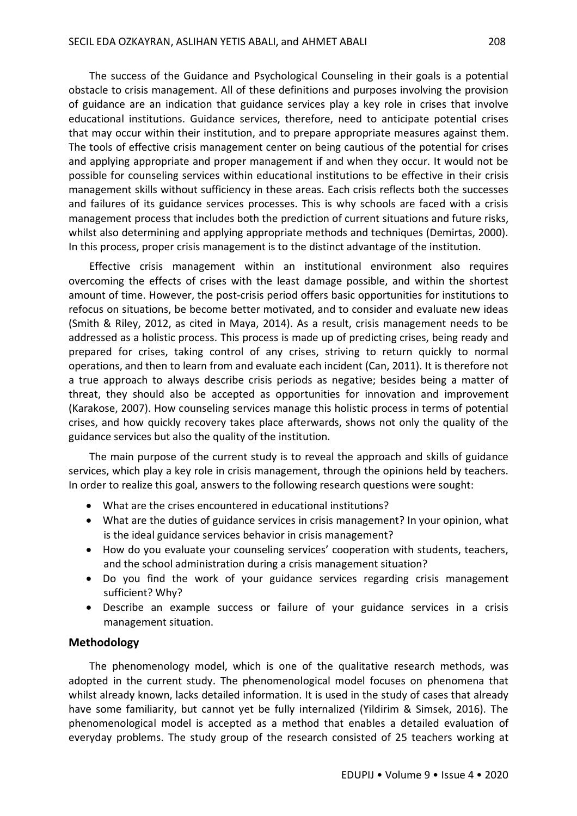The success of the Guidance and Psychological Counseling in their goals is a potential obstacle to crisis management. All of these definitions and purposes involving the provision of guidance are an indication that guidance services play a key role in crises that involve educational institutions. Guidance services, therefore, need to anticipate potential crises that may occur within their institution, and to prepare appropriate measures against them. The tools of effective crisis management center on being cautious of the potential for crises and applying appropriate and proper management if and when they occur. It would not be possible for counseling services within educational institutions to be effective in their crisis management skills without sufficiency in these areas. Each crisis reflects both the successes and failures of its guidance services processes. This is why schools are faced with a crisis management process that includes both the prediction of current situations and future risks, whilst also determining and applying appropriate methods and techniques (Demirtas, 2000). In this process, proper crisis management is to the distinct advantage of the institution.

Effective crisis management within an institutional environment also requires overcoming the effects of crises with the least damage possible, and within the shortest amount of time. However, the post-crisis period offers basic opportunities for institutions to refocus on situations, be become better motivated, and to consider and evaluate new ideas (Smith & Riley, 2012, as cited in Maya, 2014). As a result, crisis management needs to be addressed as a holistic process. This process is made up of predicting crises, being ready and prepared for crises, taking control of any crises, striving to return quickly to normal operations, and then to learn from and evaluate each incident (Can, 2011). It is therefore not a true approach to always describe crisis periods as negative; besides being a matter of threat, they should also be accepted as opportunities for innovation and improvement (Karakose, 2007). How counseling services manage this holistic process in terms of potential crises, and how quickly recovery takes place afterwards, shows not only the quality of the guidance services but also the quality of the institution.

The main purpose of the current study is to reveal the approach and skills of guidance services, which play a key role in crisis management, through the opinions held by teachers. In order to realize this goal, answers to the following research questions were sought:

- What are the crises encountered in educational institutions?
- What are the duties of guidance services in crisis management? In your opinion, what is the ideal guidance services behavior in crisis management?
- How do you evaluate your counseling services' cooperation with students, teachers, and the school administration during a crisis management situation?
- Do you find the work of your guidance services regarding crisis management sufficient? Why?
- Describe an example success or failure of your guidance services in a crisis management situation.

#### **Methodology**

The phenomenology model, which is one of the qualitative research methods, was adopted in the current study. The phenomenological model focuses on phenomena that whilst already known, lacks detailed information. It is used in the study of cases that already have some familiarity, but cannot yet be fully internalized (Yildirim & Simsek, 2016). The phenomenological model is accepted as a method that enables a detailed evaluation of everyday problems. The study group of the research consisted of 25 teachers working at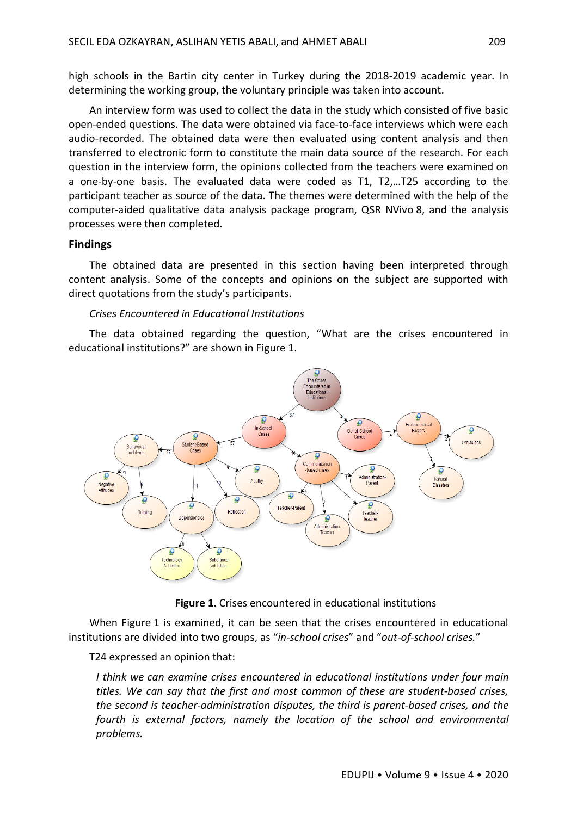high schools in the Bartin city center in Turkey during the 2018-2019 academic year. In determining the working group, the voluntary principle was taken into account.

An interview form was used to collect the data in the study which consisted of five basic open-ended questions. The data were obtained via face-to-face interviews which were each audio-recorded. The obtained data were then evaluated using content analysis and then transferred to electronic form to constitute the main data source of the research. For each question in the interview form, the opinions collected from the teachers were examined on a one-by-one basis. The evaluated data were coded as T1, T2,…T25 according to the participant teacher as source of the data. The themes were determined with the help of the computer-aided qualitative data analysis package program, QSR NVivo 8, and the analysis processes were then completed.

## **Findings**

The obtained data are presented in this section having been interpreted through content analysis. Some of the concepts and opinions on the subject are supported with direct quotations from the study's participants.

## *Crises Encountered in Educational Institutions*

The data obtained regarding the question, "What are the crises encountered in educational institutions?" are shown in Figure 1.



**Figure 1.** Crises encountered in educational institutions

When Figure 1 is examined, it can be seen that the crises encountered in educational institutions are divided into two groups, as "*in-school crises*" and "*out-of-school crises.*"

T24 expressed an opinion that:

*I think we can examine crises encountered in educational institutions under four main titles. We can say that the first and most common of these are student-based crises, the second is teacher-administration disputes, the third is parent-based crises, and the fourth is external factors, namely the location of the school and environmental problems.*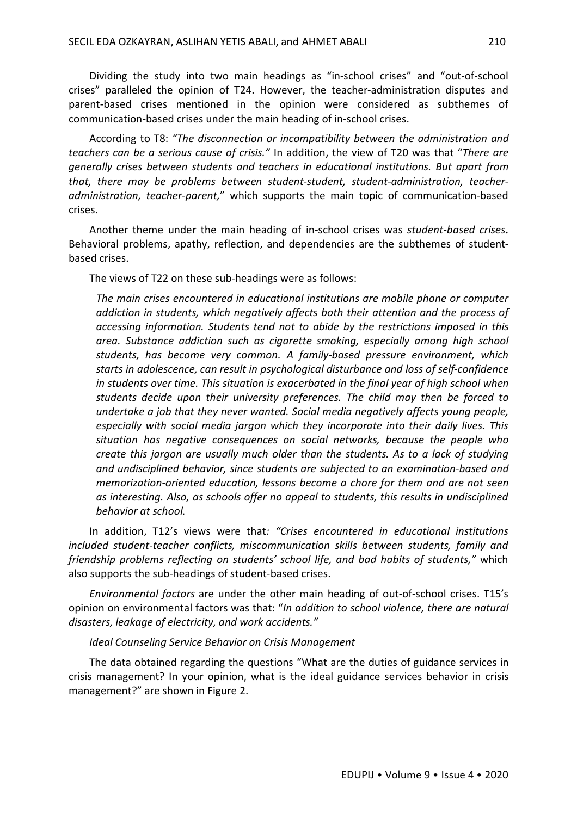Dividing the study into two main headings as "in-school crises" and "out-of-school crises" paralleled the opinion of T24. However, the teacher-administration disputes and parent-based crises mentioned in the opinion were considered as subthemes of communication-based crises under the main heading of in-school crises.

According to T8: *"The disconnection or incompatibility between the administration and teachers can be a serious cause of crisis."* In addition, the view of T20 was that "*There are generally crises between students and teachers in educational institutions. But apart from that, there may be problems between student-student, student-administration, teacheradministration, teacher-parent,*" which supports the main topic of communication-based crises.

Another theme under the main heading of in-school crises was *student-based crises***.** Behavioral problems, apathy, reflection, and dependencies are the subthemes of studentbased crises.

The views of T22 on these sub-headings were as follows:

*The main crises encountered in educational institutions are mobile phone or computer addiction in students, which negatively affects both their attention and the process of accessing information. Students tend not to abide by the restrictions imposed in this area. Substance addiction such as cigarette smoking, especially among high school students, has become very common. A family-based pressure environment, which starts in adolescence, can result in psychological disturbance and loss of self-confidence in students over time. This situation is exacerbated in the final year of high school when students decide upon their university preferences. The child may then be forced to undertake a job that they never wanted. Social media negatively affects young people, especially with social media jargon which they incorporate into their daily lives. This situation has negative consequences on social networks, because the people who create this jargon are usually much older than the students. As to a lack of studying and undisciplined behavior, since students are subjected to an examination-based and memorization-oriented education, lessons become a chore for them and are not seen as interesting. Also, as schools offer no appeal to students, this results in undisciplined behavior at school.*

In addition, T12's views were that*: "Crises encountered in educational institutions included student-teacher conflicts, miscommunication skills between students, family and friendship problems reflecting on students' school life, and bad habits of students,"* which also supports the sub-headings of student-based crises.

*Environmental factors* are under the other main heading of out-of-school crises. T15's opinion on environmental factors was that: "*In addition to school violence, there are natural disasters, leakage of electricity, and work accidents."*

#### *Ideal Counseling Service Behavior on Crisis Management*

The data obtained regarding the questions "What are the duties of guidance services in crisis management? In your opinion, what is the ideal guidance services behavior in crisis management?" are shown in Figure 2.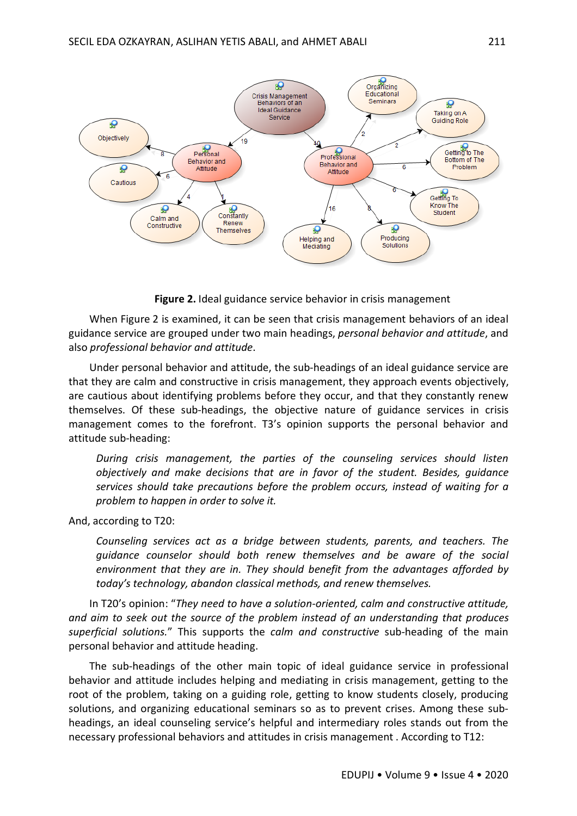

**Figure 2.** Ideal guidance service behavior in crisis management

When Figure 2 is examined, it can be seen that crisis management behaviors of an ideal guidance service are grouped under two main headings, *personal behavior and attitude*, and also *professional behavior and attitude*.

Under personal behavior and attitude, the sub-headings of an ideal guidance service are that they are calm and constructive in crisis management, they approach events objectively, are cautious about identifying problems before they occur, and that they constantly renew themselves. Of these sub-headings, the objective nature of guidance services in crisis management comes to the forefront. T3's opinion supports the personal behavior and attitude sub-heading:

*During crisis management, the parties of the counseling services should listen objectively and make decisions that are in favor of the student. Besides, guidance services should take precautions before the problem occurs, instead of waiting for a problem to happen in order to solve it.*

And, according to T20:

*Counseling services act as a bridge between students, parents, and teachers. The guidance counselor should both renew themselves and be aware of the social environment that they are in. They should benefit from the advantages afforded by today's technology, abandon classical methods, and renew themselves.*

In T20's opinion: "*They need to have a solution-oriented, calm and constructive attitude, and aim to seek out the source of the problem instead of an understanding that produces superficial solutions.*" This supports the *calm and constructive* sub-heading of the main personal behavior and attitude heading.

The sub-headings of the other main topic of ideal guidance service in professional behavior and attitude includes helping and mediating in crisis management, getting to the root of the problem, taking on a guiding role, getting to know students closely, producing solutions, and organizing educational seminars so as to prevent crises. Among these subheadings, an ideal counseling service's helpful and intermediary roles stands out from the necessary professional behaviors and attitudes in crisis management . According to T12: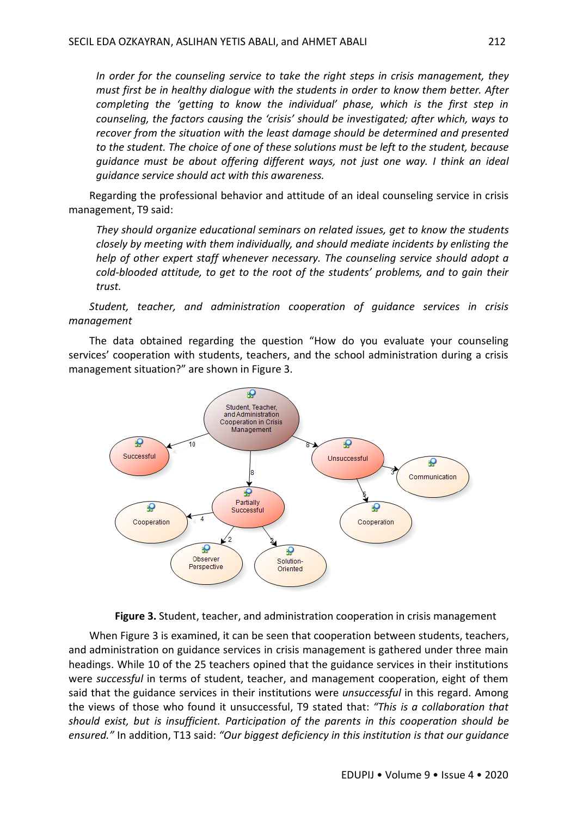*In order for the counseling service to take the right steps in crisis management, they must first be in healthy dialogue with the students in order to know them better. After completing the 'getting to know the individual' phase, which is the first step in counseling, the factors causing the 'crisis' should be investigated; after which, ways to recover from the situation with the least damage should be determined and presented to the student. The choice of one of these solutions must be left to the student, because guidance must be about offering different ways, not just one way. I think an ideal guidance service should act with this awareness.*

Regarding the professional behavior and attitude of an ideal counseling service in crisis management, T9 said:

*They should organize educational seminars on related issues, get to know the students closely by meeting with them individually, and should mediate incidents by enlisting the help of other expert staff whenever necessary. The counseling service should adopt a cold-blooded attitude, to get to the root of the students' problems, and to gain their trust.*

*Student, teacher, and administration cooperation of guidance services in crisis management* 

The data obtained regarding the question "How do you evaluate your counseling services' cooperation with students, teachers, and the school administration during a crisis management situation?" are shown in Figure 3.



**Figure 3.** Student, teacher, and administration cooperation in crisis management

When Figure 3 is examined, it can be seen that cooperation between students, teachers, and administration on guidance services in crisis management is gathered under three main headings. While 10 of the 25 teachers opined that the guidance services in their institutions were *successful* in terms of student, teacher, and management cooperation, eight of them said that the guidance services in their institutions were *unsuccessful* in this regard. Among the views of those who found it unsuccessful, T9 stated that: *"This is a collaboration that should exist, but is insufficient. Participation of the parents in this cooperation should be ensured."* In addition, T13 said: *"Our biggest deficiency in this institution is that our guidance*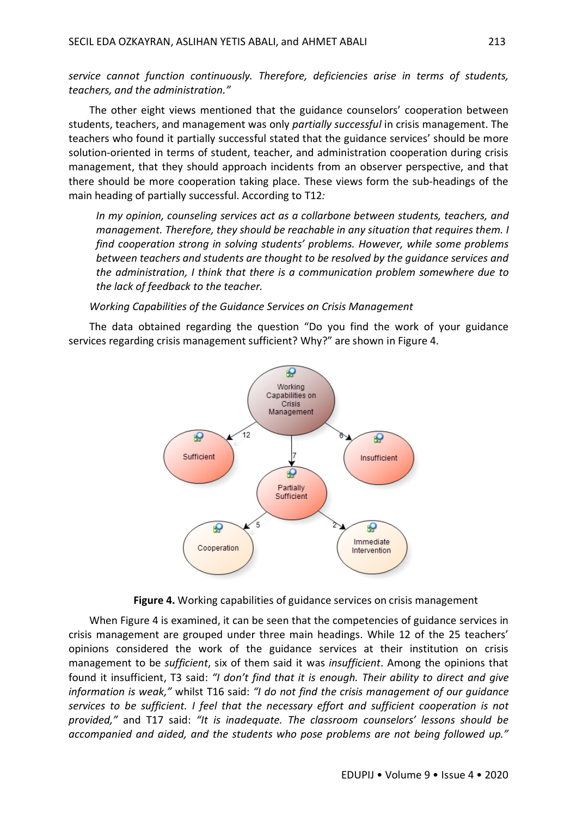*service cannot function continuously. Therefore, deficiencies arise in terms of students, teachers, and the administration."*

The other eight views mentioned that the guidance counselors' cooperation between students, teachers, and management was only *partially successful* in crisis management. The teachers who found it partially successful stated that the guidance services' should be more solution-oriented in terms of student, teacher, and administration cooperation during crisis management, that they should approach incidents from an observer perspective, and that there should be more cooperation taking place. These views form the sub-headings of the main heading of partially successful. According to T12*:*

*In my opinion, counseling services act as a collarbone between students, teachers, and management. Therefore, they should be reachable in any situation that requires them. I find cooperation strong in solving students' problems. However, while some problems between teachers and students are thought to be resolved by the guidance services and the administration, I think that there is a communication problem somewhere due to the lack of feedback to the teacher.*

*Working Capabilities of the Guidance Services on Crisis Management* 

The data obtained regarding the question "Do you find the work of your guidance services regarding crisis management sufficient? Why?" are shown in Figure 4.





When Figure 4 is examined, it can be seen that the competencies of guidance services in crisis management are grouped under three main headings. While 12 of the 25 teachers' opinions considered the work of the guidance services at their institution on crisis management to be *sufficient*, six of them said it was *insufficient*. Among the opinions that found it insufficient, T3 said: *"I don't find that it is enough. Their ability to direct and give information is weak,"* whilst T16 said: *"I do not find the crisis management of our guidance services to be sufficient. I feel that the necessary effort and sufficient cooperation is not provided,"* and T17 said: *"It is inadequate. The classroom counselors' lessons should be accompanied and aided, and the students who pose problems are not being followed up."*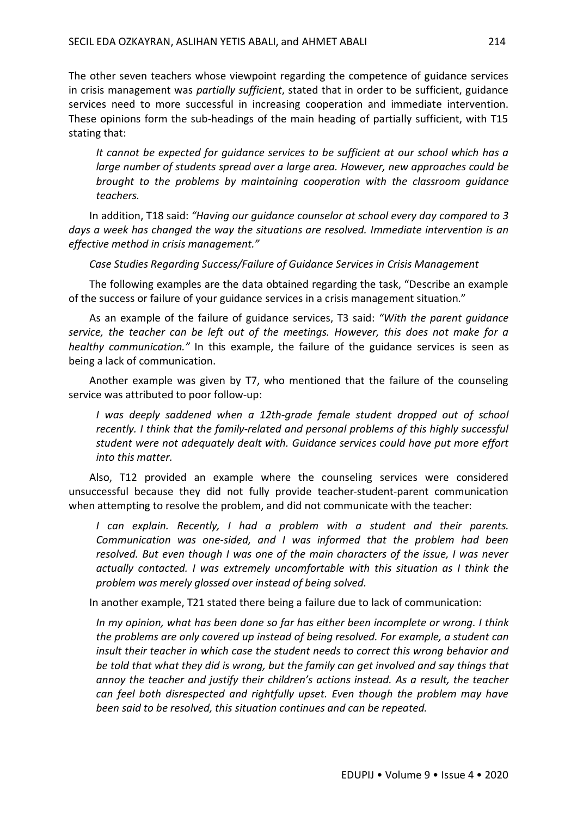The other seven teachers whose viewpoint regarding the competence of guidance services in crisis management was *partially sufficient*, stated that in order to be sufficient, guidance services need to more successful in increasing cooperation and immediate intervention. These opinions form the sub-headings of the main heading of partially sufficient, with T15 stating that:

*It cannot be expected for guidance services to be sufficient at our school which has a large number of students spread over a large area. However, new approaches could be brought to the problems by maintaining cooperation with the classroom guidance teachers.*

In addition, T18 said: *"Having our guidance counselor at school every day compared to 3 days a week has changed the way the situations are resolved. Immediate intervention is an effective method in crisis management."*

*Case Studies Regarding Success/Failure of Guidance Services in Crisis Management*

The following examples are the data obtained regarding the task, "Describe an example of the success or failure of your guidance services in a crisis management situation."

As an example of the failure of guidance services, T3 said: *"With the parent guidance service, the teacher can be left out of the meetings. However, this does not make for a healthy communication."* In this example, the failure of the guidance services is seen as being a lack of communication.

Another example was given by T7, who mentioned that the failure of the counseling service was attributed to poor follow-up:

*I was deeply saddened when a 12th-grade female student dropped out of school recently. I think that the family-related and personal problems of this highly successful student were not adequately dealt with. Guidance services could have put more effort into this matter.*

Also, T12 provided an example where the counseling services were considered unsuccessful because they did not fully provide teacher-student-parent communication when attempting to resolve the problem, and did not communicate with the teacher:

*I* can explain. Recently, *I* had a problem with a student and their parents. *Communication was one-sided, and I was informed that the problem had been resolved. But even though I was one of the main characters of the issue, I was never actually contacted. I was extremely uncomfortable with this situation as I think the problem was merely glossed over instead of being solved.*

In another example, T21 stated there being a failure due to lack of communication:

*In my opinion, what has been done so far has either been incomplete or wrong. I think the problems are only covered up instead of being resolved. For example, a student can insult their teacher in which case the student needs to correct this wrong behavior and be told that what they did is wrong, but the family can get involved and say things that annoy the teacher and justify their children's actions instead. As a result, the teacher can feel both disrespected and rightfully upset. Even though the problem may have been said to be resolved, this situation continues and can be repeated.*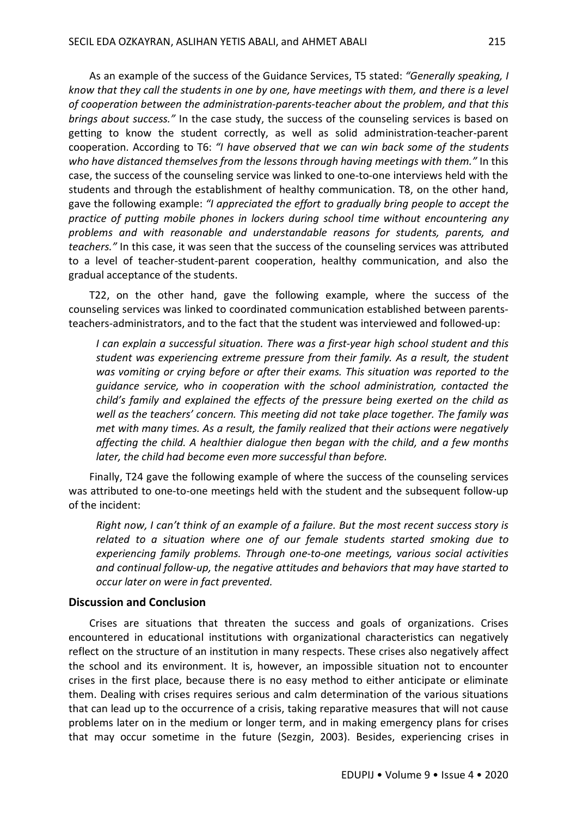As an example of the success of the Guidance Services, T5 stated: *"Generally speaking, I know that they call the students in one by one, have meetings with them, and there is a level of cooperation between the administration-parents-teacher about the problem, and that this brings about success."* In the case study, the success of the counseling services is based on getting to know the student correctly, as well as solid administration-teacher-parent cooperation. According to T6: *"I have observed that we can win back some of the students who have distanced themselves from the lessons through having meetings with them."* In this case, the success of the counseling service was linked to one-to-one interviews held with the students and through the establishment of healthy communication. T8, on the other hand, gave the following example: *"I appreciated the effort to gradually bring people to accept the practice of putting mobile phones in lockers during school time without encountering any problems and with reasonable and understandable reasons for students, parents, and teachers."* In this case, it was seen that the success of the counseling services was attributed to a level of teacher-student-parent cooperation, healthy communication, and also the gradual acceptance of the students.

T22, on the other hand, gave the following example, where the success of the counseling services was linked to coordinated communication established between parentsteachers-administrators, and to the fact that the student was interviewed and followed-up:

*I can explain a successful situation. There was a first-year high school student and this student was experiencing extreme pressure from their family. As a result, the student was vomiting or crying before or after their exams. This situation was reported to the guidance service, who in cooperation with the school administration, contacted the child's family and explained the effects of the pressure being exerted on the child as well as the teachers' concern. This meeting did not take place together. The family was met with many times. As a result, the family realized that their actions were negatively affecting the child. A healthier dialogue then began with the child, and a few months later, the child had become even more successful than before.*

Finally, T24 gave the following example of where the success of the counseling services was attributed to one-to-one meetings held with the student and the subsequent follow-up of the incident:

*Right now, I can't think of an example of a failure. But the most recent success story is related to a situation where one of our female students started smoking due to experiencing family problems. Through one-to-one meetings, various social activities and continual follow-up, the negative attitudes and behaviors that may have started to occur later on were in fact prevented.*

### **Discussion and Conclusion**

Crises are situations that threaten the success and goals of organizations. Crises encountered in educational institutions with organizational characteristics can negatively reflect on the structure of an institution in many respects. These crises also negatively affect the school and its environment. It is, however, an impossible situation not to encounter crises in the first place, because there is no easy method to either anticipate or eliminate them. Dealing with crises requires serious and calm determination of the various situations that can lead up to the occurrence of a crisis, taking reparative measures that will not cause problems later on in the medium or longer term, and in making emergency plans for crises that may occur sometime in the future (Sezgin, 2003). Besides, experiencing crises in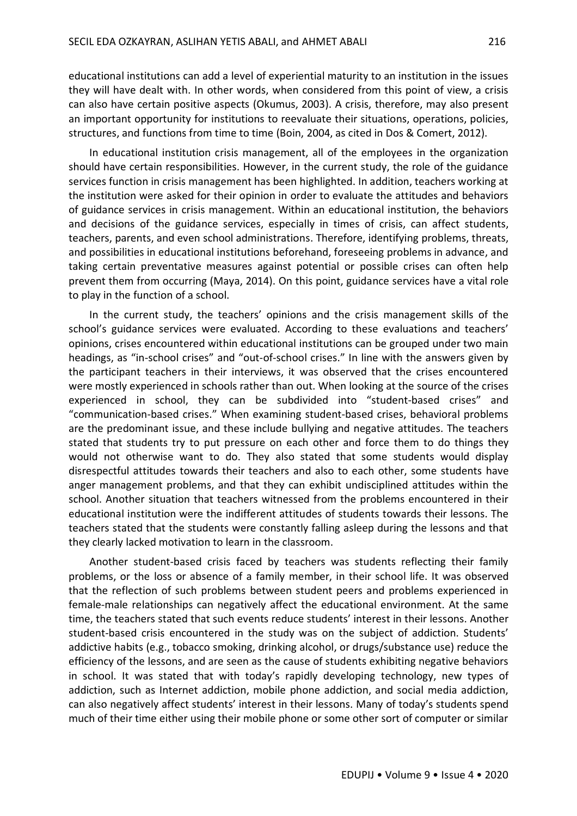educational institutions can add a level of experiential maturity to an institution in the issues they will have dealt with. In other words, when considered from this point of view, a crisis can also have certain positive aspects (Okumus, 2003). A crisis, therefore, may also present an important opportunity for institutions to reevaluate their situations, operations, policies, structures, and functions from time to time (Boin, 2004, as cited in Dos & Comert, 2012).

In educational institution crisis management, all of the employees in the organization should have certain responsibilities. However, in the current study, the role of the guidance services function in crisis management has been highlighted. In addition, teachers working at the institution were asked for their opinion in order to evaluate the attitudes and behaviors of guidance services in crisis management. Within an educational institution, the behaviors and decisions of the guidance services, especially in times of crisis, can affect students, teachers, parents, and even school administrations. Therefore, identifying problems, threats, and possibilities in educational institutions beforehand, foreseeing problems in advance, and taking certain preventative measures against potential or possible crises can often help prevent them from occurring (Maya, 2014). On this point, guidance services have a vital role to play in the function of a school.

In the current study, the teachers' opinions and the crisis management skills of the school's guidance services were evaluated. According to these evaluations and teachers' opinions, crises encountered within educational institutions can be grouped under two main headings, as "in-school crises" and "out-of-school crises." In line with the answers given by the participant teachers in their interviews, it was observed that the crises encountered were mostly experienced in schools rather than out. When looking at the source of the crises experienced in school, they can be subdivided into "student-based crises" and "communication-based crises." When examining student-based crises, behavioral problems are the predominant issue, and these include bullying and negative attitudes. The teachers stated that students try to put pressure on each other and force them to do things they would not otherwise want to do. They also stated that some students would display disrespectful attitudes towards their teachers and also to each other, some students have anger management problems, and that they can exhibit undisciplined attitudes within the school. Another situation that teachers witnessed from the problems encountered in their educational institution were the indifferent attitudes of students towards their lessons. The teachers stated that the students were constantly falling asleep during the lessons and that they clearly lacked motivation to learn in the classroom.

Another student-based crisis faced by teachers was students reflecting their family problems, or the loss or absence of a family member, in their school life. It was observed that the reflection of such problems between student peers and problems experienced in female-male relationships can negatively affect the educational environment. At the same time, the teachers stated that such events reduce students' interest in their lessons. Another student-based crisis encountered in the study was on the subject of addiction. Students' addictive habits (e.g., tobacco smoking, drinking alcohol, or drugs/substance use) reduce the efficiency of the lessons, and are seen as the cause of students exhibiting negative behaviors in school. It was stated that with today's rapidly developing technology, new types of addiction, such as Internet addiction, mobile phone addiction, and social media addiction, can also negatively affect students' interest in their lessons. Many of today's students spend much of their time either using their mobile phone or some other sort of computer or similar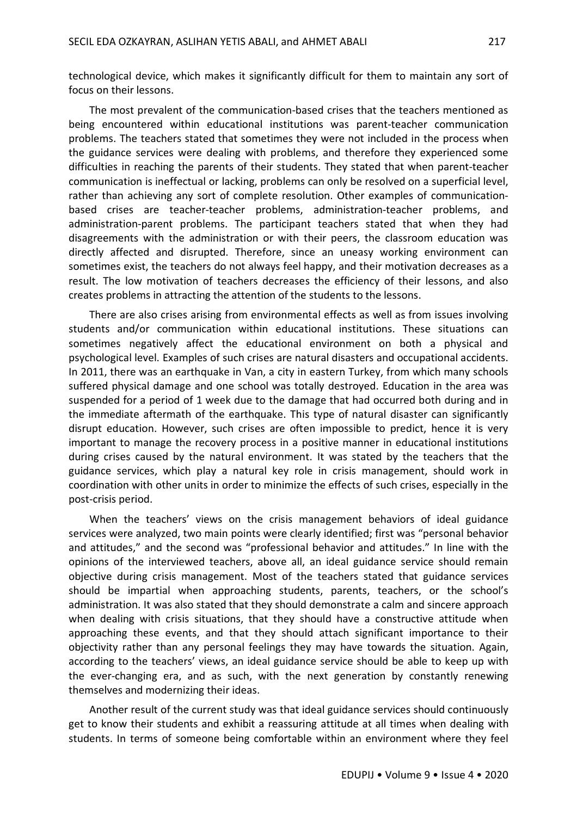technological device, which makes it significantly difficult for them to maintain any sort of focus on their lessons.

The most prevalent of the communication-based crises that the teachers mentioned as being encountered within educational institutions was parent-teacher communication problems. The teachers stated that sometimes they were not included in the process when the guidance services were dealing with problems, and therefore they experienced some difficulties in reaching the parents of their students. They stated that when parent-teacher communication is ineffectual or lacking, problems can only be resolved on a superficial level, rather than achieving any sort of complete resolution. Other examples of communicationbased crises are teacher-teacher problems, administration-teacher problems, and administration-parent problems. The participant teachers stated that when they had disagreements with the administration or with their peers, the classroom education was directly affected and disrupted. Therefore, since an uneasy working environment can sometimes exist, the teachers do not always feel happy, and their motivation decreases as a result. The low motivation of teachers decreases the efficiency of their lessons, and also creates problems in attracting the attention of the students to the lessons.

There are also crises arising from environmental effects as well as from issues involving students and/or communication within educational institutions. These situations can sometimes negatively affect the educational environment on both a physical and psychological level. Examples of such crises are natural disasters and occupational accidents. In 2011, there was an earthquake in Van, a city in eastern Turkey, from which many schools suffered physical damage and one school was totally destroyed. Education in the area was suspended for a period of 1 week due to the damage that had occurred both during and in the immediate aftermath of the earthquake. This type of natural disaster can significantly disrupt education. However, such crises are often impossible to predict, hence it is very important to manage the recovery process in a positive manner in educational institutions during crises caused by the natural environment. It was stated by the teachers that the guidance services, which play a natural key role in crisis management, should work in coordination with other units in order to minimize the effects of such crises, especially in the post-crisis period.

When the teachers' views on the crisis management behaviors of ideal guidance services were analyzed, two main points were clearly identified; first was "personal behavior and attitudes," and the second was "professional behavior and attitudes." In line with the opinions of the interviewed teachers, above all, an ideal guidance service should remain objective during crisis management. Most of the teachers stated that guidance services should be impartial when approaching students, parents, teachers, or the school's administration. It was also stated that they should demonstrate a calm and sincere approach when dealing with crisis situations, that they should have a constructive attitude when approaching these events, and that they should attach significant importance to their objectivity rather than any personal feelings they may have towards the situation. Again, according to the teachers' views, an ideal guidance service should be able to keep up with the ever-changing era, and as such, with the next generation by constantly renewing themselves and modernizing their ideas.

Another result of the current study was that ideal guidance services should continuously get to know their students and exhibit a reassuring attitude at all times when dealing with students. In terms of someone being comfortable within an environment where they feel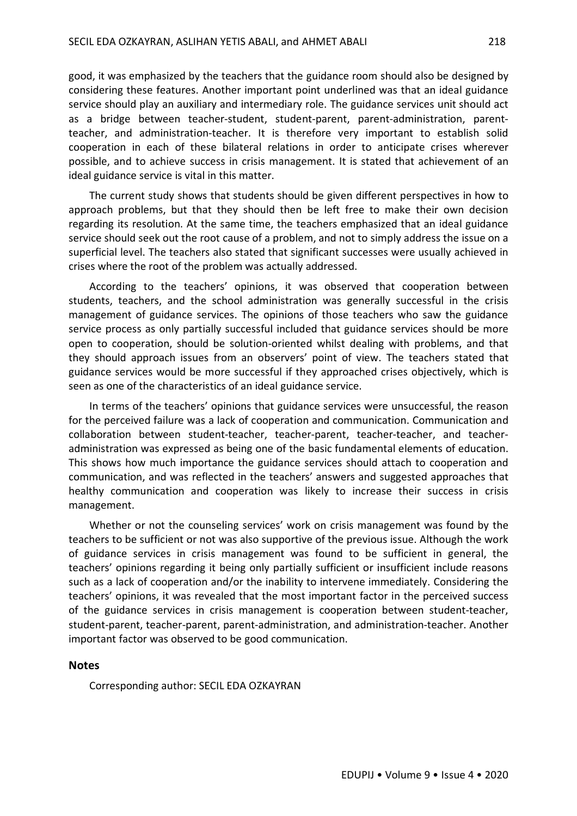good, it was emphasized by the teachers that the guidance room should also be designed by considering these features. Another important point underlined was that an ideal guidance service should play an auxiliary and intermediary role. The guidance services unit should act as a bridge between teacher-student, student-parent, parent-administration, parentteacher, and administration-teacher. It is therefore very important to establish solid cooperation in each of these bilateral relations in order to anticipate crises wherever possible, and to achieve success in crisis management. It is stated that achievement of an ideal guidance service is vital in this matter.

The current study shows that students should be given different perspectives in how to approach problems, but that they should then be left free to make their own decision regarding its resolution. At the same time, the teachers emphasized that an ideal guidance service should seek out the root cause of a problem, and not to simply address the issue on a superficial level. The teachers also stated that significant successes were usually achieved in crises where the root of the problem was actually addressed.

According to the teachers' opinions, it was observed that cooperation between students, teachers, and the school administration was generally successful in the crisis management of guidance services. The opinions of those teachers who saw the guidance service process as only partially successful included that guidance services should be more open to cooperation, should be solution-oriented whilst dealing with problems, and that they should approach issues from an observers' point of view. The teachers stated that guidance services would be more successful if they approached crises objectively, which is seen as one of the characteristics of an ideal guidance service.

In terms of the teachers' opinions that guidance services were unsuccessful, the reason for the perceived failure was a lack of cooperation and communication. Communication and collaboration between student-teacher, teacher-parent, teacher-teacher, and teacheradministration was expressed as being one of the basic fundamental elements of education. This shows how much importance the guidance services should attach to cooperation and communication, and was reflected in the teachers' answers and suggested approaches that healthy communication and cooperation was likely to increase their success in crisis management.

Whether or not the counseling services' work on crisis management was found by the teachers to be sufficient or not was also supportive of the previous issue. Although the work of guidance services in crisis management was found to be sufficient in general, the teachers' opinions regarding it being only partially sufficient or insufficient include reasons such as a lack of cooperation and/or the inability to intervene immediately. Considering the teachers' opinions, it was revealed that the most important factor in the perceived success of the guidance services in crisis management is cooperation between student-teacher, student-parent, teacher-parent, parent-administration, and administration-teacher. Another important factor was observed to be good communication.

#### **Notes**

Corresponding author: SECIL EDA OZKAYRAN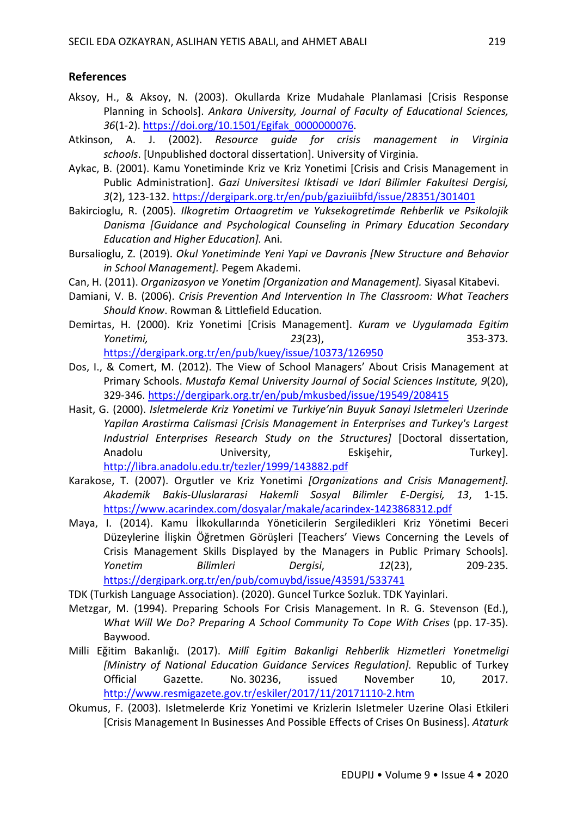### **References**

- Aksoy, H., & Aksoy, N. (2003). Okullarda Krize Mudahale Planlamasi [Crisis Response Planning in Schools]. *Ankara University, Journal of Faculty of Educational Sciences, 36*(1-2). https://doi.org/10.1501/Egifak\_0000000076.
- Atkinson, A. J. (2002). *Resource guide for crisis management in Virginia schools*. [Unpublished doctoral dissertation]. University of Virginia.
- Aykac, B. (2001). Kamu Yonetiminde Kriz ve Kriz Yonetimi [Crisis and Crisis Management in Public Administration]. *Gazi Universitesi Iktisadi ve Idari Bilimler Fakultesi Dergisi, 3*(2), 123-132. https://dergipark.org.tr/en/pub/gaziuiibfd/issue/28351/301401
- Bakircioglu, R. (2005). *Ilkogretim Ortaogretim ve Yuksekogretimde Rehberlik ve Psikolojik Danisma [Guidance and Psychological Counseling in Primary Education Secondary Education and Higher Education].* Ani.
- Bursalioglu, Z. (2019). *Okul Yonetiminde Yeni Yapi ve Davranis [New Structure and Behavior in School Management].* Pegem Akademi.
- Can, H. (2011). *Organizasyon ve Yonetim [Organization and Management].* Siyasal Kitabevi.
- Damiani, V. B. (2006). *Crisis Prevention And Intervention In The Classroom: What Teachers Should Know*. Rowman & Littlefield Education.
- Demirtas, H. (2000). Kriz Yonetimi [Crisis Management]. *Kuram ve Uygulamada Egitim Yonetimi, 23*(23), 353-373.

https://dergipark.org.tr/en/pub/kuey/issue/10373/126950

- Dos, I., & Comert, M. (2012). The View of School Managers' About Crisis Management at Primary Schools. *Mustafa Kemal University Journal of Social Sciences Institute, 9*(20), 329-346. https://dergipark.org.tr/en/pub/mkusbed/issue/19549/208415
- Hasit, G. (2000). *Isletmelerde Kriz Yonetimi ve Turkiye'nin Buyuk Sanayi Isletmeleri Uzerinde Yapilan Arastirma Calismasi [Crisis Management in Enterprises and Turkey's Largest Industrial Enterprises Research Study on the Structures]* [Doctoral dissertation, Anadolu **University, Eskisehir, Turkey**l. http://libra.anadolu.edu.tr/tezler/1999/143882.pdf
- Karakose, T. (2007). Orgutler ve Kriz Yonetimi *[Organizations and Crisis Management]. Akademik Bakis-Uluslararasi Hakemli Sosyal Bilimler E-Dergisi, 13*, 1-15. https://www.acarindex.com/dosyalar/makale/acarindex-1423868312.pdf
- Maya, I. (2014). Kamu İlkokullarında Yöneticilerin Sergiledikleri Kriz Yönetimi Beceri Düzeylerine İlişkin Öğretmen Görüşleri [Teachers' Views Concerning the Levels of Crisis Management Skills Displayed by the Managers in Public Primary Schools]. *Yonetim Bilimleri Dergisi*, *12*(23), 209-235. https://dergipark.org.tr/en/pub/comuybd/issue/43591/533741

TDK (Turkish Language Association). (2020). Guncel Turkce Sozluk. TDK Yayinlari.

- Metzgar, M. (1994). Preparing Schools For Crisis Management. In R. G. Stevenson (Ed.), *What Will We Do? Preparing A School Community To Cope With Crises* (pp. 17-35). Baywood.
- Milli Eğitim Bakanlığı. (2017). *Millî Egitim Bakanligi Rehberlik Hizmetleri Yonetmeligi [Ministry of National Education Guidance Services Regulation].* Republic of Turkey Official Gazette. No. 30236, issued November 10, 2017. http://www.resmigazete.gov.tr/eskiler/2017/11/20171110-2.htm
- Okumus, F. (2003). Isletmelerde Kriz Yonetimi ve Krizlerin Isletmeler Uzerine Olasi Etkileri [Crisis Management In Businesses And Possible Effects of Crises On Business]. *Ataturk*